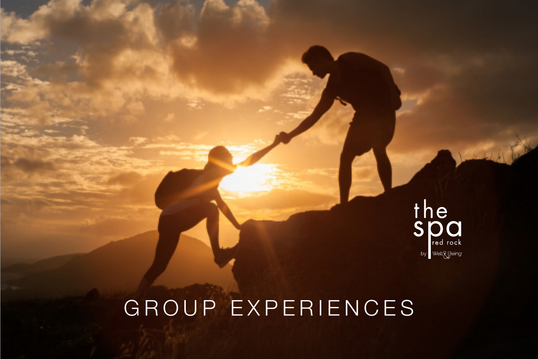

## GROUP EXPERIENCES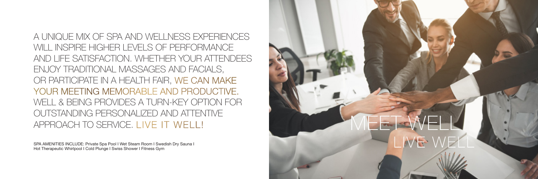

A UNIQUE MIX OF SPA AND WELLNESS EXPERIENCES WILL INSPIRE HIGHER LEVELS OF PERFORMANCE AND LIFE SATISFACTION. WHETHER YOUR ATTENDEES ENJOY TRADITIONAL MASSAGES AND FACIALS, OR PARTICIPATE IN A HEALTH FAIR, WE CAN MAKE YOUR MEETING MEMORABLE AND PRODUCTIVE. WELL & BEING PROVIDES A TURN-KEY OPTION FOR OUTSTANDING PERSONALIZED AND ATTENTIVE APPROACH TO SERVICE. LIVE IT WELL!

SPA AMENITIES INCLUDE: Private Spa Pool I Wet Steam Room I Swedish Dry Sauna I Hot Therapeutic Whirlpool I Cold Plunge I Swiss Shower I Fitness Gym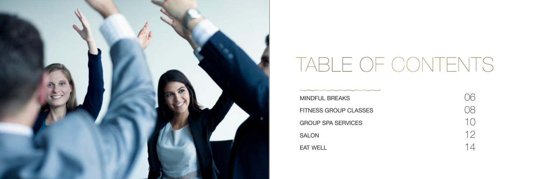

# TABLE OF CONTENTS

MINDFUL BREAKS FITNESS GROUP CLASSES GROUP SPA SERVICES SALON EAT WELL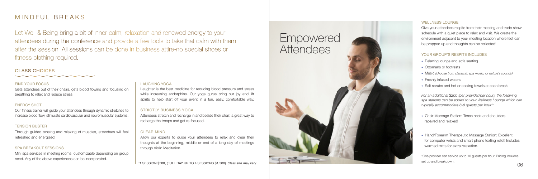#### WELLNESS LOUNGE

Give your attendees respite from their meeting and trade show schedule with a quiet place to relax and visit. We create the environment adjacent to your meeting location where feet can be propped up and thoughts can be collected!

#### YOUR GROUP'S RESPITE INCLUDES

- Relaxing lounge and sofa seating
- Ottomans or footrests
- Music *(choose from classical, spa music, or nature's sounds)*
- Freshly infused waters
- Salt scrubs and hot or cooling towels at each break

*For an additional \$200 (per provider/per hour), the following spa stations can be added to your Wellness Lounge which can typically accommodate 6-8 guests per hour\*:* 

- Chair Massage Station: Tense neck and shoulders
- repaired and relaxed! Hand/Forearm Therapeutic Massage Station: Excellent for computer wrists and smart phone texting relief! Includes warmed mitts for extra relaxation.

\*One provider can service up to 10 guests per hour. Pricing includes set up and breakdown.

### Empowered Attendees





Let Well & Being bring a bit of inner calm, relaxation and renewed energy to your attendees during the conference and provide a few tools to take that calm with them after the session. All sessions can be done in business attire-no special shoes or fitness clothing required.

#### MINDFUL BREAKS

#### FIND YOUR FOCUS

Gets attendees out of their chairs, gets blood flowing and focusing on breathing to relax and reduce stress.

#### ENERGY SHOT

Our fitness trainer will guide your attendees through dynamic stretches to increase blood flow, stimulate cardiovascular and neuromuscular systems.

#### TENSION BUSTER

Through guided tensing and relaxing of muscles, attendees will feel refreshed and energized!

#### SPA BREAKOUT SESSIONS

Mini spa services in meeting rooms, customizable depending on group need. Any of the above experiences can be incorporated.

#### LAUGHING YOGA

Laughter is the best medicine for reducing blood pressure and stress while increasing endorphins. Our yoga gurus bring out joy and lift spirits to help start off your event in a fun, easy, comfortable way.

#### STRICTLY BUSINESS YOGA

Attendees stretch and recharge in and beside their chair, a great way to recharge the troops and get re-focused.

#### CLEAR MIND

Allow our experts to guide your attendees to relax and clear their thoughts at the beginning, middle or end of a long day of meetings through Violin Meditation.

#### CLASS CHOICES

\* 1 SESSION \$500, (FULL DAY UP TO 4 SESSIONS \$1,500). *Class size may vary.*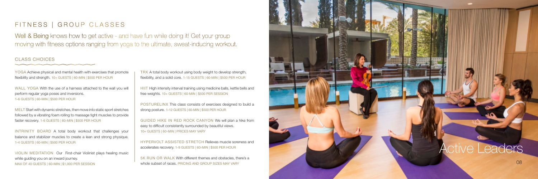### Active Leaders

Well & Being knows how to get active - and have fun while doing it! Get your group moving with fitness options ranging from yoga to the ultimate, sweat-inducing workout.

#### FITNESS | GROUP CLASSES

YOGA Achieve physical and mental health with exercises that promote flexibility and strength. 10+ GUESTS | 60-MIN | \$500 PER HOUR

WALL YOGA With the use of a harness attached to the wall you will perform regular yoga poses and inversions. 1-6 GUESTS | 60-MIN | \$500 PER HOUR

MELT Start with dynamic stretches, then move into static sport stretches followed by a vibrating foam rolling to massage tight muscles to provide faster recovery. 1-6 GUESTS | 60-MIN | \$500 PER HOUR

INTRINITY BOARD A total body workout that challenges your balance and stabilizer muscles to create a lean and strong physique. 1-4 GUESTS | 60-MIN | \$500 PER HOUR

VIOLIN MEDITATION Our First-chair Violinist plays healing music while guiding you on an inward journey. MAX OF 40 GUESTS | 60-MIN | \$1,000 PER SESSION

#### CLASS CHOICES

TRX A total body workout using body weight to develop strength, flexibility, and a solid core. 1-15 GUESTS | 60-MIN | \$500 PER HOUR

HIIT High intensity interval training using medicine balls, kettle bells and free weights. 10+ GUESTS | 60-MIN | \$500 PER SESSION

POSTURELINX This class consists of exercises designed to build a strong posture. 1-12 GUESTS | 60-MIN | \$500 PER HOUR

GUIDED HIKE IN RED ROCK CANYON We will plan a hike from easy to difficult consistently surrounded by beautiful views. 10+ GUESTS | 60-MIN | PRICES MAY VARY

HYPERVOLT ASSISTED STRETCH Relieves muscle soreness and accelerates recovery. 1-9 GUESTS | 60-MIN | \$500 PER HOUR

5K RUN OR WALK With different themes and obstacles, there's a whole subset of races. PRICING AND GROUP SIZES MAY VARY

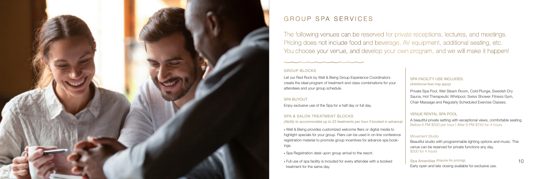The following venues can be reserved for private receptions, lectures, and meetings. Pricing does not include food and beverage, AV equipment, additional seating, etc. You choose your venue, and develop your own program, and we will make it happen!



### GROUP SPA SERVICES

#### GROUP BLOCKS

Let our Red Rock by Well & Being Group Experience Coordinators create the ideal program of treatment and class combinations for your attendees and your group schedule.

#### SPA BUYOUT

Enjoy exclusive use of the Spa for a half day or full day.

#### SPA FACILITY USE INCLUDES: *(Additional fees may apply)*

#### SPA & SALON TREATMENT BLOCKS

*(Ability to accommodate up to 23 treatments per hour if booked in advance)*

• Well & Being provides customized welcome fliers or digital media to highlight specials for your group. Fliers can be used in on-line conference registration material to promote group incentives for advance spa bookings.

• Spa Registration desk upon group arrival to the resort.

• Full use of spa facility is included for every attendee with a booked treatment for the same day.

Private Spa Pool, Wet Steam Room, Cold Plunge, Swedish Dry Sauna, Hot Therapeutic Whirlpool, Swiss Shower, Fitness Gym, Chair Massage and Regularly Scheduled Exercise Classes.

#### VENUE RENTAL SPA POOL

A beautiful private setting with exceptional views, comfortable seating. Before 6 PM \$500 per hour I After 6 PM \$750 for 4 hours

#### Movement Studio

Beautiful studio with programmable lighting options and music. This venue can be reserved for private functions any day. \$500 for 4 hours

Spa Amenities *(Inquire for pricing).*

Early open and late closing available for exclusive use.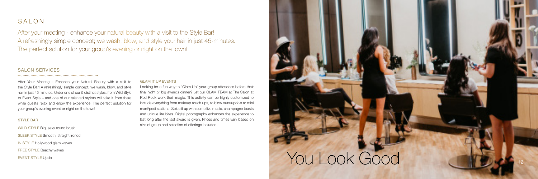

After Your Meeting – Enhance your Natural Beauty with a visit to the Style Bar! A refreshingly simple concept; we wash, blow, and style hair in just 45 minutes. Order one of our 5 distinct styles, from Wild Style to Event Style – and one of our talented stylists will take it from there while guests relax and enjoy the experience. The perfect solution for your group's evening event or night on the town!

#### SALON

#### STYLE BAR

WILD STYLE Big, sexy round brush SLEEK STYLE Smooth, straight ironed IN STYLE Hollywood glam waves FREE STYLE Beachy waves EVENT STYLE Updo

After your meeting - enhance your natural beauty with a visit to the Style Bar! A refreshingly simple concept; we wash, blow, and style your hair in just 45-minutes. The perfect solution for your group's evening or night on the town!

#### SALON SERVICES

#### GLAM IT UP EVENTS

Looking for a fun way to "Glam Up" your group attendees before their final night or big awards dinner? Let our GLAM TEAM at The Salon at Red Rock work their magic. This activity can be highly customized to include everything from makeup touch ups, to blow outs/updo's to mini mani/pedi stations. Spice it up with some live music, champagne toasts and unique lite bites. Digital photography enhances the experience to last long after the last award is given. Prices and times vary based on size of group and selection of offerings included.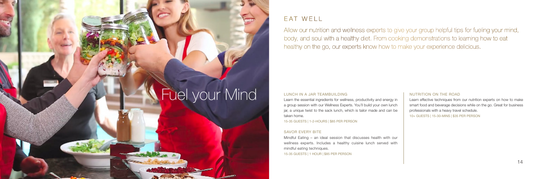Allow our nutrition and wellness experts to give your group helpful tips for fueling your mind, body, and soul with a healthy diet. From cooking demonstrations to learning how to eat healthy on the go, our experts know how to make your experience delicious.

# Fuel your Mind

#### EAT WELL

#### LUNCH IN A JAR TEAMBUILDING

Learn the essential ingredients for wellness, productivity and energy in a group session with our Wellness Experts. You'll build your own lunch jar, a unique twist to the sack lunch, which is tailor made and can be taken home.

15-35 GUESTS | 1-2-HOURS | \$85 PER PERSON

#### SAVOR EVERY BITE

Mindful Eating – an ideal session that discusses health with our wellness experts. Includes a healthy cuisine lunch served with mindful eating techniques. 15-35 GUESTS | 1 HOUR | \$85 PER PERSON

#### NUTRITION ON THE ROAD

Learn effective techniques from our nutrition experts on how to make smart food and beverage decisions while on the go. Great for business professionals with a heavy travel schedule.

10+ GUESTS | 15-30-MINS | \$35 PER PERSON